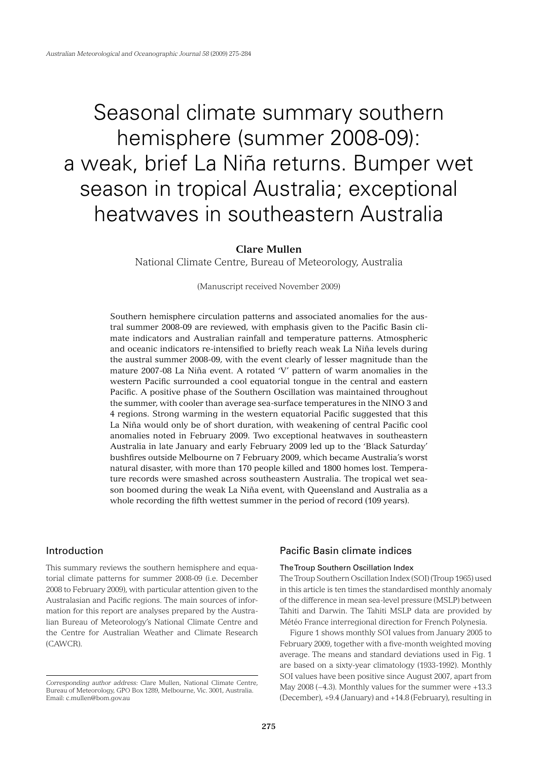# Seasonal climate summary southern hemisphere (summer 2008-09): a weak, brief La Niña returns. Bumper wet season in tropical Australia; exceptional heatwaves in southeastern Australia

## **Clare Mullen**

National Climate Centre, Bureau of Meteorology, Australia

(Manuscript received November 2009)

Southern hemisphere circulation patterns and associated anomalies for the austral summer 2008-09 are reviewed, with emphasis given to the Pacific Basin climate indicators and Australian rainfall and temperature patterns. Atmospheric and oceanic indicators re-intensified to briefly reach weak La Niña levels during the austral summer 2008-09, with the event clearly of lesser magnitude than the mature 2007-08 La Niña event. A rotated 'V' pattern of warm anomalies in the western Pacific surrounded a cool equatorial tongue in the central and eastern Pacific. A positive phase of the Southern Oscillation was maintained throughout the summer, with cooler than average sea-surface temperatures in the NINO 3 and 4 regions. Strong warming in the western equatorial Pacific suggested that this La Niña would only be of short duration, with weakening of central Pacific cool anomalies noted in February 2009. Two exceptional heatwaves in southeastern Australia in late January and early February 2009 led up to the 'Black Saturday' bushfires outside Melbourne on 7 February 2009, which became Australia's worst natural disaster, with more than 170 people killed and 1800 homes lost. Temperature records were smashed across southeastern Australia. The tropical wet season boomed during the weak La Niña event, with Queensland and Australia as a whole recording the fifth wettest summer in the period of record (109 years).

## Introduction

This summary reviews the southern hemisphere and equatorial climate patterns for summer 2008-09 (i.e. December 2008 to February 2009), with particular attention given to the Australasian and Pacific regions. The main sources of information for this report are analyses prepared by the Australian Bureau of Meteorology's National Climate Centre and the Centre for Australian Weather and Climate Research (CAWCR).

## Pacific Basin climate indices

## The Troup Southern Oscillation Index

The Troup Southern Oscillation Index (SOI) (Troup 1965) used in this article is ten times the standardised monthly anomaly of the difference in mean sea-level pressure (MSLP) between Tahiti and Darwin. The Tahiti MSLP data are provided by Météo France interregional direction for French Polynesia.

Figure 1 shows monthly SOI values from January 2005 to February 2009, together with a five-month weighted moving average. The means and standard deviations used in Fig. 1 are based on a sixty-year climatology (1933-1992). Monthly SOI values have been positive since August 2007, apart from May 2008 (−4.3). Monthly values for the summer were +13.3 (December), +9.4 (January) and +14.8 (February), resulting in

*Corresponding author address:* Clare Mullen, National Climate Centre, Bureau of Meteorology, GPO Box 1289, Melbourne, Vic. 3001, Australia. Email: c.mullen@bom.gov.au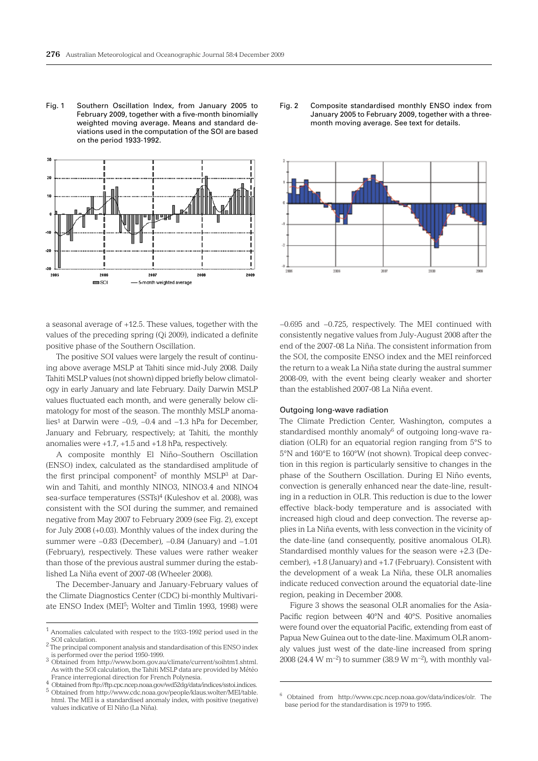Fig. 1 Southern Oscillation Index, from January 2005 to February 2009, together with a five-month binomially weighted moving average. Means and standard deviations used in the computation of the SOI are based on the period 1933-1992.



a seasonal average of +12.5. These values, together with the values of the preceding spring (Qi 2009), indicated a definite positive phase of the Southern Oscillation.

The positive SOI values were largely the result of continuing above average MSLP at Tahiti since mid-July 2008. Daily Tahiti MSLP values (not shown) dipped briefly below climatology in early January and late February. Daily Darwin MSLP values fluctuated each month, and were generally below climatology for most of the season. The monthly MSLP anomalies1 at Darwin were −0.9, −0.4 and −1.3 hPa for December, January and February, respectively; at Tahiti, the monthly anomalies were +1.7, +1.5 and +1.8 hPa, respectively.

A composite monthly El Niño–Southern Oscillation (ENSO) index, calculated as the standardised amplitude of the first principal component<sup>2</sup> of monthly  $MSLP<sup>3</sup>$  at Darwin and Tahiti, and monthly NINO3, NINO3.4 and NINO4 sea-surface temperatures (SSTs)<sup>4</sup> (Kuleshov et al. 2008), was consistent with the SOI during the summer, and remained negative from May 2007 to February 2009 (see Fig. 2), except for July 2008 (+0.03). Monthly values of the index during the summer were −0.83 (December), −0.84 (January) and −1.01 (February), respectively. These values were rather weaker than those of the previous austral summer during the established La Niña event of 2007-08 (Wheeler 2008).

The December-January and January-February values of the Climate Diagnostics Center (CDC) bi-monthly Multivariate ENSO Index (MEI<sup>5</sup>; Wolter and Timlin 1993, 1998) were





−0.695 and −0.725, respectively. The MEI continued with consistently negative values from July-August 2008 after the end of the 2007-08 La Niña. The consistent information from the SOI, the composite ENSO index and the MEI reinforced the return to a weak La Niña state during the austral summer 2008-09, with the event being clearly weaker and shorter than the established 2007-08 La Niña event.

#### Outgoing long-wave radiation

The Climate Prediction Center, Washington, computes a standardised monthly anomaly $6$  of outgoing long-wave radiation (OLR) for an equatorial region ranging from 5°S to 5°N and 160°E to 160°W (not shown). Tropical deep convection in this region is particularly sensitive to changes in the phase of the Southern Oscillation. During El Niño events, convection is generally enhanced near the date-line, resulting in a reduction in OLR. This reduction is due to the lower effective black-body temperature and is associated with increased high cloud and deep convection. The reverse applies in La Niña events, with less convection in the vicinity of the date-line (and consequently, positive anomalous OLR). Standardised monthly values for the season were +2.3 (December), +1.8 (January) and +1.7 (February). Consistent with the development of a weak La Niña, these OLR anomalies indicate reduced convection around the equatorial date-line region, peaking in December 2008.

Figure 3 shows the seasonal OLR anomalies for the Asia-Pacific region between 40°N and 40°S. Positive anomalies were found over the equatorial Pacific, extending from east of Papua New Guinea out to the date-line. Maximum OLR anomaly values just west of the date-line increased from spring 2008 (24.4 W m<sup>-2</sup>) to summer (38.9 W m<sup>-2</sup>), with monthly val-

 $^{\rm 1}$  Anomalies calculated with respect to the 1933-1992 period used in the SOI calculation.

SOI calculation. 2 The principal component analysis and standardisation of this ENSO index

is performed over the period 1950-1999. 3 Obtained from http://www.bom.gov.au/climate/current/soihtm1.shtml. As with the SOI calculation, the Tahiti MSLP data are provided by Météo

France interregional direction for French Polynesia. <sup>4</sup> Obtained from ftp://ftp.cpc.ncep.noaa.gov/wd52dg/data/indices/sstoi.indices.

<sup>5</sup> Obtained from http://www.cdc.noaa.gov/people/klaus.wolter/MEI/table. html. The MEI is a standardised anomaly index, with positive (negative) values indicative of El Niño (La Niña).

<sup>6</sup> Obtained from http://www.cpc.ncep.noaa.gov/data/indices/olr. The base period for the standardisation is 1979 to 1995.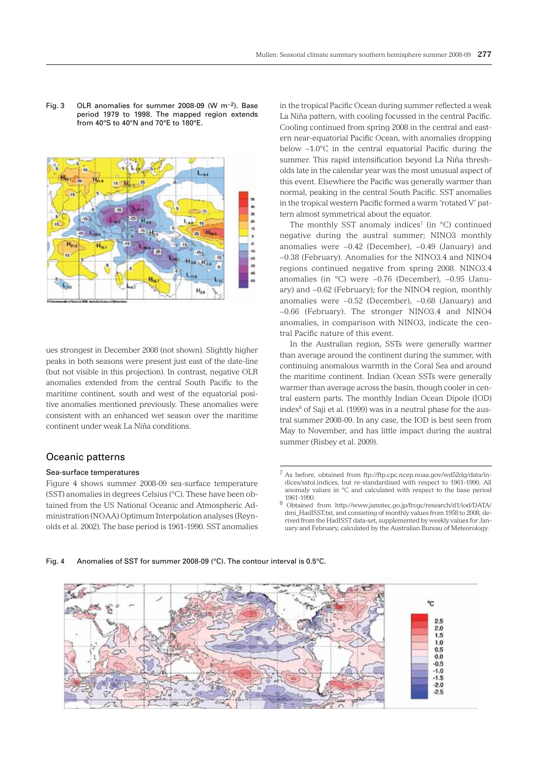

Fig. 3 OLR anomalies for summer 2008-09 (W m−2). Base period 1979 to 1998. The mapped region extends from 40°S to 40°N and 70°E to 180°E.

ues strongest in December 2008 (not shown). Slightly higher peaks in both seasons were present just east of the date-line (but not visible in this projection). In contrast, negative OLR anomalies extended from the central South Pacific to the maritime continent, south and west of the equatorial positive anomalies mentioned previously. These anomalies were consistent with an enhanced wet season over the maritime continent under weak La Niña conditions.

## Oceanic patterns

#### Sea-surface temperatures

Figure 4 shows summer 2008-09 sea-surface temperature (SST) anomalies in degrees Celsius (°C). These have been obtained from the US National Oceanic and Atmospheric Administration (NOAA) Optimum Interpolation analyses (Reynolds et al. 2002). The base period is 1961-1990. SST anomalies

in the tropical Pacific Ocean during summer reflected a weak La Niña pattern, with cooling focussed in the central Pacific. Cooling continued from spring 2008 in the central and eastern near-equatorial Pacific Ocean, with anomalies dropping below −1.0°C in the central equatorial Pacific during the summer. This rapid intensification beyond La Niña thresholds late in the calendar year was the most unusual aspect of this event. Elsewhere the Pacific was generally warmer than normal, peaking in the central South Pacific. SST anomalies in the tropical western Pacific formed a warm 'rotated V' pattern almost symmetrical about the equator.

The monthly SST anomaly indices<sup>7</sup> (in  $°C$ ) continued negative during the austral summer; NINO3 monthly anomalies were −0.42 (December), −0.49 (January) and −0.38 (February). Anomalies for the NINO3.4 and NINO4 regions continued negative from spring 2008. NINO3.4 anomalies (in °C) were −0.76 (December), −0.95 (January) and −0.62 (February); for the NINO4 region, monthly anomalies were −0.52 (December), −0.68 (January) and −0.66 (February). The stronger NINO3.4 and NINO4 anomalies, in comparison with NINO3, indicate the central Pacific nature of this event.

In the Australian region, SSTs were generally warmer than average around the continent during the summer, with continuing anomalous warmth in the Coral Sea and around the maritime continent. Indian Ocean SSTs were generally warmer than average across the basin, though cooler in central eastern parts. The monthly Indian Ocean Dipole (IOD) index<sup>8</sup> of Saji et al. (1999) was in a neutral phase for the austral summer 2008-09. In any case, the IOD is best seen from May to November, and has little impact during the austral summer (Risbey et al. 2009).

#### Fig. 4 Anomalies of SST for summer 2008-09 (°C). The contour interval is 0.5°C.



<sup>7</sup> As before, obtained from ftp://ftp.cpc.ncep.noaa.gov/wd52dg/data/indices/sstoi.indices, but re-standardised with respect to 1961-1990. All anomaly values in °C and calculated with respect to the base period

 $^8$  Obtained from http://www.jamstec.go.jp/frcgc/research/d1/iod/DATA/  $^8$ dmi\_HadISST.txt, and consisting of monthly values from 1958 to 2008, derived from the HadISST data-set, supplemented by weekly values for January and February, calculated by the Australian Bureau of Meteorology.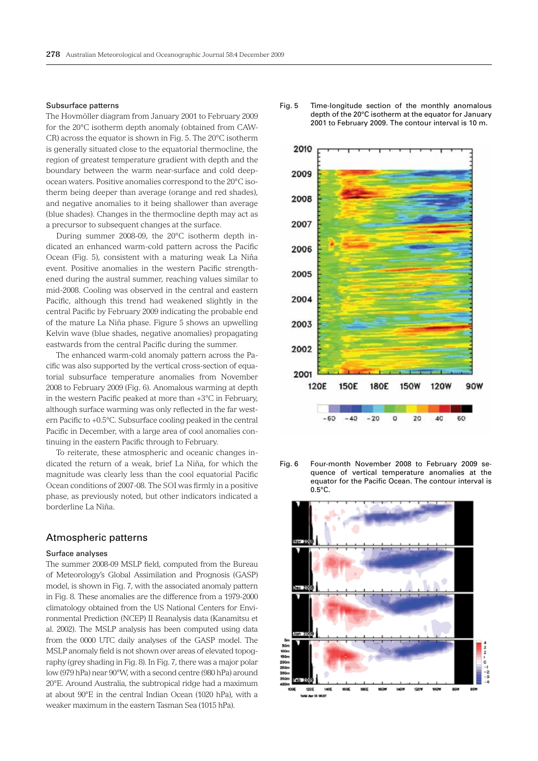#### Subsurface patterns

The Hovmöller diagram from January 2001 to February 2009 for the 20°C isotherm depth anomaly (obtained from CAW-CR) across the equator is shown in Fig. 5. The 20°C isotherm is generally situated close to the equatorial thermocline, the region of greatest temperature gradient with depth and the boundary between the warm near-surface and cold deepocean waters. Positive anomalies correspond to the 20°C isotherm being deeper than average (orange and red shades), and negative anomalies to it being shallower than average (blue shades). Changes in the thermocline depth may act as a precursor to subsequent changes at the surface.

During summer 2008-09, the 20°C isotherm depth indicated an enhanced warm-cold pattern across the Pacific Ocean (Fig. 5), consistent with a maturing weak La Niña event. Positive anomalies in the western Pacific strengthened during the austral summer, reaching values similar to mid-2008. Cooling was observed in the central and eastern Pacific, although this trend had weakened slightly in the central Pacific by February 2009 indicating the probable end of the mature La Niña phase. Figure 5 shows an upwelling Kelvin wave (blue shades, negative anomalies) propagating eastwards from the central Pacific during the summer.

The enhanced warm-cold anomaly pattern across the Pacific was also supported by the vertical cross-section of equatorial subsurface temperature anomalies from November 2008 to February 2009 (Fig. 6). Anomalous warming at depth in the western Pacific peaked at more than +3°C in February, although surface warming was only reflected in the far western Pacific to +0.5°C. Subsurface cooling peaked in the central Pacific in December, with a large area of cool anomalies continuing in the eastern Pacific through to February.

To reiterate, these atmospheric and oceanic changes indicated the return of a weak, brief La Niña, for which the magnitude was clearly less than the cool equatorial Pacific Ocean conditions of 2007-08. The SOI was firmly in a positive phase, as previously noted, but other indicators indicated a borderline La Niña.

#### Atmospheric patterns

#### Surface analyses

The summer 2008-09 MSLP field, computed from the Bureau of Meteorology's Global Assimilation and Prognosis (GASP) model, is shown in Fig. 7, with the associated anomaly pattern in Fig. 8. These anomalies are the difference from a 1979-2000 climatology obtained from the US National Centers for Environmental Prediction (NCEP) II Reanalysis data (Kanamitsu et al. 2002). The MSLP analysis has been computed using data from the 0000 UTC daily analyses of the GASP model. The MSLP anomaly field is not shown over areas of elevated topography (grey shading in Fig. 8). In Fig. 7, there was a major polar low (979 hPa) near 90°W, with a second centre (980 hPa) around 20°E. Around Australia, the subtropical ridge had a maximum at about 90°E in the central Indian Ocean (1020 hPa), with a weaker maximum in the eastern Tasman Sea (1015 hPa).





Fig. 6 Four-month November 2008 to February 2009 sequence of vertical temperature anomalies at the equator for the Pacific Ocean. The contour interval is 0.5°C.

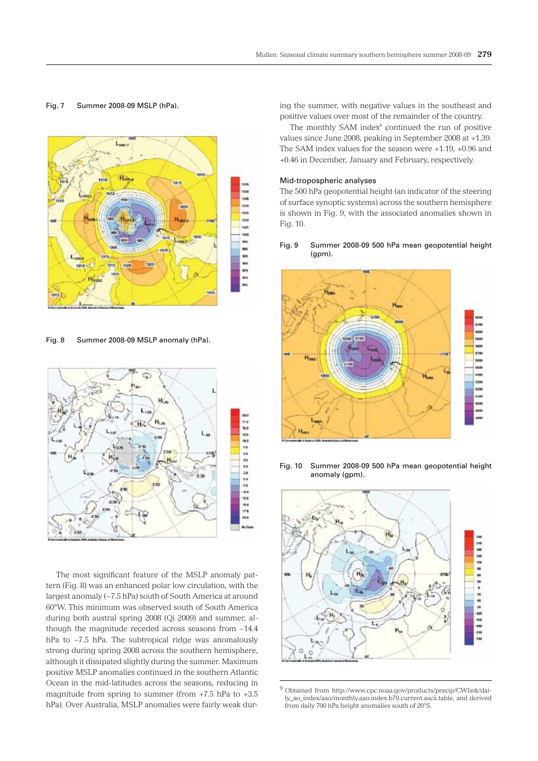#### Fig. 7 Summer 2008-09 MSLP (hPa).



Fig. 8 Summer 2008-09 MSLP anomaly (hPa).



The most significant feature of the MSLP anomaly pattern (Fig. 8) was an enhanced polar low circulation, with the largest anomaly (−7.5 hPa) south of South America at around 60°W. This minimum was observed south of South America during both austral spring 2008 (Qi 2009) and summer, although the magnitude receded across seasons from −14.4 hPa to −7.5 hPa. The subtropical ridge was anomalously strong during spring 2008 across the southern hemisphere, although it dissipated slightly during the summer. Maximum positive MSLP anomalies continued in the southern Atlantic Ocean in the mid-latitudes across the seasons, reducing in magnitude from spring to summer (from  $+7.5$  hPa to  $+3.5$ hPa). Over Australia, MSLP anomalies were fairly weak during the summer, with negative values in the southeast and positive values over most of the remainder of the country.

The monthly SAM index<sup>9</sup> continued the run of positive values since June 2008, peaking in September 2008 at +1.39. The SAM index values for the season were +1.19, +0.96 and +0.46 in December, January and February, respectively.

#### Mid-tropospheric analyses

The 500 hPa geopotential height (an indicator of the steering of surface synoptic systems) across the southern hemisphere is shown in Fig. 9, with the associated anomalies shown in Fig. 10.

#### Fig. 9 Summer 2008-09 500 hPa mean geopotential height (gpm).



Fig. 10 Summer 2008-09 500 hPa mean geopotential height anomaly (gpm).



9 Obtained from http://www.cpc.noaa.gov/products/precip/CWlink/daily\_ao\_index/aao/monthly.aao.index.b79.current.ascii.table, and derived from daily 700 hPa height anomalies south of 20°S.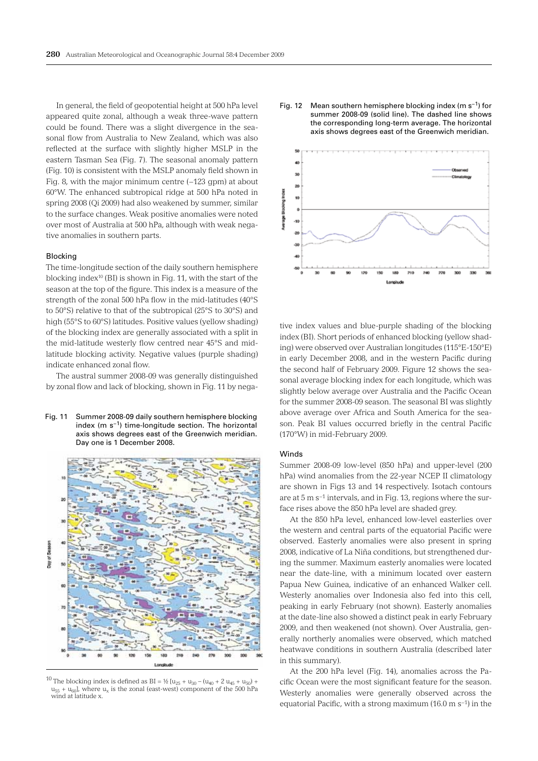In general, the field of geopotential height at 500 hPa level appeared quite zonal, although a weak three-wave pattern could be found. There was a slight divergence in the seasonal flow from Australia to New Zealand, which was also reflected at the surface with slightly higher MSLP in the eastern Tasman Sea (Fig. 7). The seasonal anomaly pattern (Fig. 10) is consistent with the MSLP anomaly field shown in Fig. 8, with the major minimum centre (−123 gpm) at about 60°W. The enhanced subtropical ridge at 500 hPa noted in spring 2008 (Qi 2009) had also weakened by summer, similar to the surface changes. Weak positive anomalies were noted over most of Australia at 500 hPa, although with weak negative anomalies in southern parts.

#### Blocking

The time-longitude section of the daily southern hemisphere blocking index10 (BI) is shown in Fig. 11, with the start of the season at the top of the figure. This index is a measure of the strength of the zonal 500 hPa flow in the mid-latitudes (40°S to 50°S) relative to that of the subtropical (25°S to 30°S) and high (55°S to 60°S) latitudes. Positive values (yellow shading) of the blocking index are generally associated with a split in the mid-latitude westerly flow centred near 45°S and midlatitude blocking activity. Negative values (purple shading) indicate enhanced zonal flow.

The austral summer 2008-09 was generally distinguished by zonal flow and lack of blocking, shown in Fig. 11 by nega-

Fig. 11 Summer 2008-09 daily southern hemisphere blocking index (m  $s^{-1}$ ) time-longitude section. The horizontal axis shows degrees east of the Greenwich meridian. Day one is 1 December 2008.



<sup>10</sup> The blocking index is defined as BI = ½  $[u_{25} + u_{30} - (u_{40} + 2 u_{45} + u_{50}) +$  $u_{55} + u_{60}$ , where  $u_x$  is the zonal (east-west) component of the 500 hPa wind at latitude x.





tive index values and blue-purple shading of the blocking index (BI). Short periods of enhanced blocking (yellow shading) were observed over Australian longitudes (115°E-150°E) in early December 2008, and in the western Pacific during the second half of February 2009. Figure 12 shows the seasonal average blocking index for each longitude, which was slightly below average over Australia and the Pacific Ocean for the summer 2008-09 season. The seasonal BI was slightly above average over Africa and South America for the season. Peak BI values occurred briefly in the central Pacific (170°W) in mid-February 2009.

#### Winds

Summer 2008-09 low-level (850 hPa) and upper-level (200 hPa) wind anomalies from the 22-year NCEP II climatology are shown in Figs 13 and 14 respectively. Isotach contours are at 5 m s−1 intervals, and in Fig. 13, regions where the surface rises above the 850 hPa level are shaded grey.

At the 850 hPa level, enhanced low-level easterlies over the western and central parts of the equatorial Pacific were observed. Easterly anomalies were also present in spring 2008, indicative of La Niña conditions, but strengthened during the summer. Maximum easterly anomalies were located near the date-line, with a minimum located over eastern Papua New Guinea, indicative of an enhanced Walker cell. Westerly anomalies over Indonesia also fed into this cell, peaking in early February (not shown). Easterly anomalies at the date-line also showed a distinct peak in early February 2009, and then weakened (not shown). Over Australia, generally northerly anomalies were observed, which matched heatwave conditions in southern Australia (described later in this summary).

At the 200 hPa level (Fig. 14), anomalies across the Pacific Ocean were the most significant feature for the season. Westerly anomalies were generally observed across the equatorial Pacific, with a strong maximum (16.0 m s−1) in the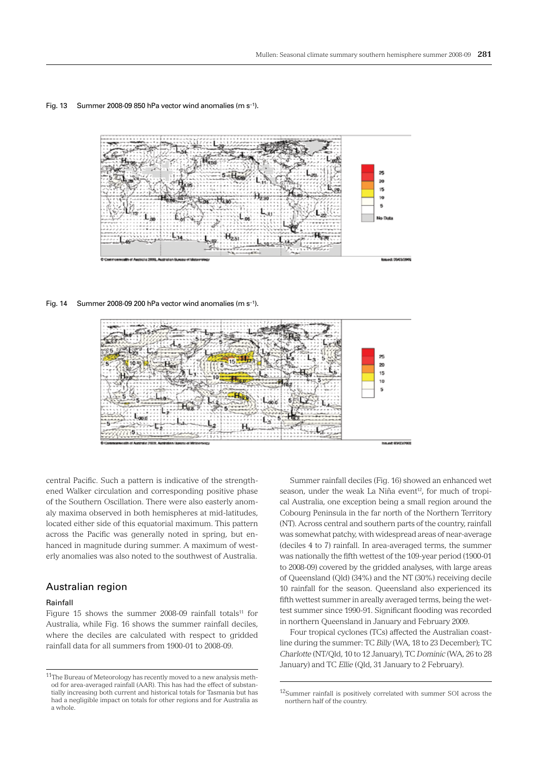#### Fig. 13 Summer 2008-09 850 hPa vector wind anomalies (m s−1).



Fig. 14 Summer 2008-09 200 hPa vector wind anomalies (m s−1).



central Pacific. Such a pattern is indicative of the strengthened Walker circulation and corresponding positive phase of the Southern Oscillation. There were also easterly anomaly maxima observed in both hemispheres at mid-latitudes, located either side of this equatorial maximum. This pattern across the Pacific was generally noted in spring, but enhanced in magnitude during summer. A maximum of westerly anomalies was also noted to the southwest of Australia.

### Australian region

#### Rainfall

Figure 15 shows the summer 2008-09 rainfall totals<sup>11</sup> for Australia, while Fig. 16 shows the summer rainfall deciles, where the deciles are calculated with respect to gridded rainfall data for all summers from 1900-01 to 2008-09.

Summer rainfall deciles (Fig. 16) showed an enhanced wet season, under the weak La Niña event<sup>12</sup>, for much of tropical Australia, one exception being a small region around the Cobourg Peninsula in the far north of the Northern Territory (NT). Across central and southern parts of the country, rainfall was somewhat patchy, with widespread areas of near-average (deciles 4 to 7) rainfall. In area-averaged terms, the summer was nationally the fifth wettest of the 109-year period (1900-01 to 2008-09) covered by the gridded analyses, with large areas of Queensland (Qld) (34%) and the NT (30%) receiving decile 10 rainfall for the season. Queensland also experienced its fifth wettest summer in areally averaged terms, being the wettest summer since 1990-91. Significant flooding was recorded in northern Queensland in January and February 2009.

Four tropical cyclones (TCs) affected the Australian coastline during the summer: TC *Billy* (WA, 18 to 23 December); TC *Charlotte* (NT/Qld, 10 to 12 January), TC *Dominic* (WA, 26 to 28 January) and TC *Ellie* (Qld, 31 January to 2 February).

 $11$ The Bureau of Meteorology has recently moved to a new analysis method for area-averaged rainfall (AAR). This has had the effect of substantially increasing both current and historical totals for Tasmania but has had a negligible impact on totals for other regions and for Australia as a whole.

<sup>12</sup>Summer rainfall is positively correlated with summer SOI across the northern half of the country.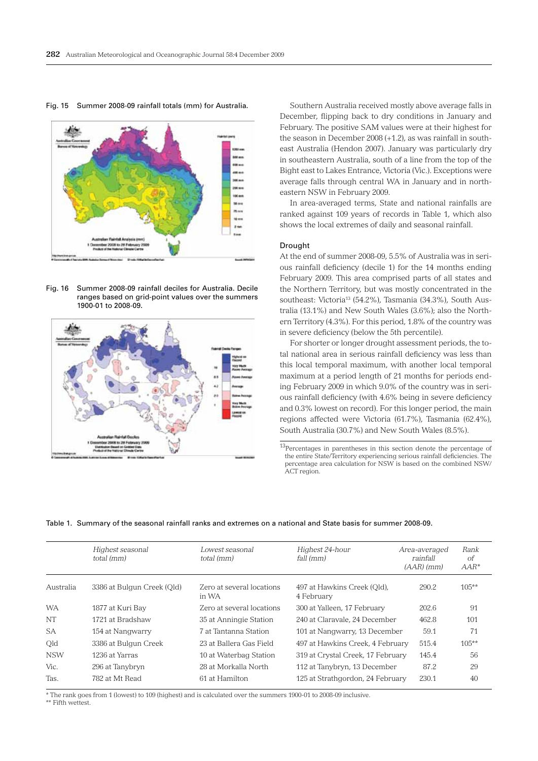سن

Fig. 15 Summer 2008-09 rainfall totals (mm) for Australia.

Fig. 16 Summer 2008-09 rainfall deciles for Australia. Decile ranges based on grid-point values over the summers 1900-01 to 2008-09.



Southern Australia received mostly above average falls in December, flipping back to dry conditions in January and February. The positive SAM values were at their highest for the season in December 2008 (+1.2), as was rainfall in southeast Australia (Hendon 2007). January was particularly dry in southeastern Australia, south of a line from the top of the Bight east to Lakes Entrance, Victoria (Vic.). Exceptions were average falls through central WA in January and in northeastern NSW in February 2009.

In area-averaged terms, State and national rainfalls are ranked against 109 years of records in Table 1, which also shows the local extremes of daily and seasonal rainfall.

#### Drought

At the end of summer 2008-09, 5.5% of Australia was in serious rainfall deficiency (decile 1) for the 14 months ending February 2009. This area comprised parts of all states and the Northern Territory, but was mostly concentrated in the southeast: Victoria<sup>13</sup> (54.2%), Tasmania (34.3%), South Australia (13.1%) and New South Wales (3.6%); also the Northern Territory (4.3%). For this period, 1.8% of the country was in severe deficiency (below the 5th percentile).

For shorter or longer drought assessment periods, the total national area in serious rainfall deficiency was less than this local temporal maximum, with another local temporal maximum at a period length of 21 months for periods ending February 2009 in which 9.0% of the country was in serious rainfall deficiency (with 4.6% being in severe deficiency and 0.3% lowest on record). For this longer period, the main regions affected were Victoria (61.7%), Tasmania (62.4%), South Australia (30.7%) and New South Wales (8.5%).

13Percentages in parentheses in this section denote the percentage of the entire State/Territory experiencing serious rainfall deficiencies. The percentage area calculation for NSW is based on the combined NSW/ ACT region.

|  |  |  |  |  |  | Table 1. Summary of the seasonal rainfall ranks and extremes on a national and State basis for summer 2008-09. |  |  |  |  |  |  |  |  |  |
|--|--|--|--|--|--|----------------------------------------------------------------------------------------------------------------|--|--|--|--|--|--|--|--|--|
|--|--|--|--|--|--|----------------------------------------------------------------------------------------------------------------|--|--|--|--|--|--|--|--|--|

|            | Highest seasonal<br>total (mm) | Lowest seasonal<br>total (mm)      | Highest 24-hour<br>fall (mm)              | Area-averaged<br>rainfall<br>$(AAR)$ (mm) | Rank<br>оf<br>$AAR^*$ |
|------------|--------------------------------|------------------------------------|-------------------------------------------|-------------------------------------------|-----------------------|
| Australia  | 3386 at Bulgun Creek (Qld)     | Zero at several locations<br>in WA | 497 at Hawkins Creek (Old),<br>4 February | 290.2                                     | $105***$              |
| <b>WA</b>  | 1877 at Kuri Bay               | Zero at several locations          | 300 at Yalleen, 17 February               | 202.6                                     | 91                    |
| <b>NT</b>  | 1721 at Bradshaw               | 35 at Anningie Station             | 240 at Claravale. 24 December             | 462.8                                     | 101                   |
| <b>SA</b>  | 154 at Nangwarry               | 7 at Tantanna Station              | 101 at Nangwarry, 13 December             | 59.1                                      | 71                    |
| Old        | 3386 at Bulgun Creek           | 23 at Ballera Gas Field            | 497 at Hawkins Creek, 4 February          | 515.4                                     | $105**$               |
| <b>NSW</b> | 1236 at Yarras                 | 10 at Waterbag Station             | 319 at Crystal Creek, 17 February         | 145.4                                     | 56                    |
| Vic.       | 296 at Tanybryn                | 28 at Morkalla North               | 112 at Tanybryn, 13 December              | 87.2                                      | 29                    |
| Tas.       | 782 at Mt Read                 | 61 at Hamilton                     | 125 at Strathgordon, 24 February          | 230.1                                     | 40                    |

\* The rank goes from 1 (lowest) to 109 (highest) and is calculated over the summers 1900-01 to 2008-09 inclusive.

\*\* Fifth wettest.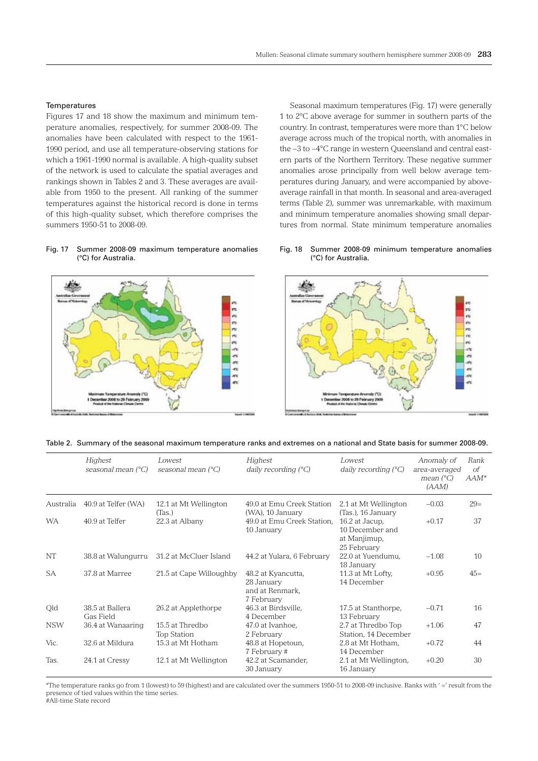#### **Temperatures**

Figures 17 and 18 show the maximum and minimum temperature anomalies, respectively, for summer 2008-09. The anomalies have been calculated with respect to the 1961- 1990 period, and use all temperature-observing stations for which a 1961-1990 normal is available. A high-quality subset of the network is used to calculate the spatial averages and rankings shown in Tables 2 and 3. These averages are available from 1950 to the present. All ranking of the summer temperatures against the historical record is done in terms of this high-quality subset, which therefore comprises the summers 1950-51 to 2008-09.

Seasonal maximum temperatures (Fig. 17) were generally 1 to 2°C above average for summer in southern parts of the country. In contrast, temperatures were more than 1°C below average across much of the tropical north, with anomalies in the −3 to −4°C range in western Queensland and central eastern parts of the Northern Territory. These negative summer anomalies arose principally from well below average temperatures during January, and were accompanied by aboveaverage rainfall in that month. In seasonal and area-averaged terms (Table 2), summer was unremarkable, with maximum and minimum temperature anomalies showing small departures from normal. State minimum temperature anomalies

## Fig. 17 Summer 2008-09 maximum temperature anomalies (°C) for Australia.



#### Fig. 18 Summer 2008-09 minimum temperature anomalies (°C) for Australia.



|  |  |  |  |  |  |  | Table 2. Summary of the seasonal maximum temperature ranks and extremes on a national and State basis for summer 2008-09. |
|--|--|--|--|--|--|--|---------------------------------------------------------------------------------------------------------------------------|
|--|--|--|--|--|--|--|---------------------------------------------------------------------------------------------------------------------------|

|            | Highest<br>seasonal mean $(^{\circ}C)$ | Lowest<br>seasonal mean (°C)          | Highest<br>daily recording $(^{\circ}C)$                          | Lowest<br>daily recording $(^{\circ}C)$                                                | Anomaly of<br>area-averaged<br>mean $(^{\circ}C)$<br>(AAM) | Rank<br><sub>of</sub><br>$AAM^*$ |
|------------|----------------------------------------|---------------------------------------|-------------------------------------------------------------------|----------------------------------------------------------------------------------------|------------------------------------------------------------|----------------------------------|
| Australia  | 40.9 at Telfer (WA)                    | 12.1 at Mt Wellington                 | 49.0 at Emu Creek Station                                         | 2.1 at Mt Wellington                                                                   | $-0.03$                                                    | $29=$                            |
| <b>WA</b>  | 40.9 at Telfer                         | (Tas.)<br>22.3 at Albany              | (WA), 10 January<br>49.0 at Emu Creek Station,<br>10 January      | (Tas.), 16 January<br>16.2 at Jacup,<br>10 December and<br>at Manjimup,<br>25 February | $+0.17$                                                    | 37                               |
| <b>NT</b>  | 38.8 at Walungurru                     | 31.2 at McCluer Island                | 44.2 at Yulara, 6 February                                        | 22.0 at Yuendumu.<br>18 January                                                        | $-1.08$                                                    | 10                               |
| SA         | 37.8 at Marree                         | 21.5 at Cape Willoughby               | 48.2 at Kyancutta,<br>28 January<br>and at Renmark.<br>7 February | 11.3 at Mt Lofty.<br>14 December                                                       | $+0.95$                                                    | $45=$                            |
| Old        | 38.5 at Ballera<br>Gas Field           | 26.2 at Applethorpe                   | 46.3 at Birdsville,<br>4 December                                 | 17.5 at Stanthorpe,<br>13 February                                                     | $-0.71$                                                    | 16                               |
| <b>NSW</b> | 36.4 at Wanaaring                      | 15.5 at Thredbo<br><b>Top Station</b> | 47.0 at Ivanhoe,<br>2 February                                    | 2.7 at Thredbo Top<br>Station, 14 December                                             | $+1.06$                                                    | 47                               |
| Vic.       | 32.6 at Mildura                        | 15.3 at Mt Hotham                     | 48.8 at Hopetoun,<br>7 February #                                 | 2.8 at Mt Hotham.<br>14 December                                                       | $+0.72$                                                    | 44                               |
| Tas.       | 24.1 at Cressy                         | 12.1 at Mt Wellington                 | 42.2 at Scamander,<br>30 January                                  | 2.1 at Mt Wellington,<br>16 January                                                    | $+0.20$                                                    | 30                               |

\*The temperature ranks go from 1 (lowest) to 59 (highest) and are calculated over the summers 1950-51 to 2008-09 inclusive. Ranks with ' = ' result from the presence of tied values within the time series.

.<br>#All-time State record